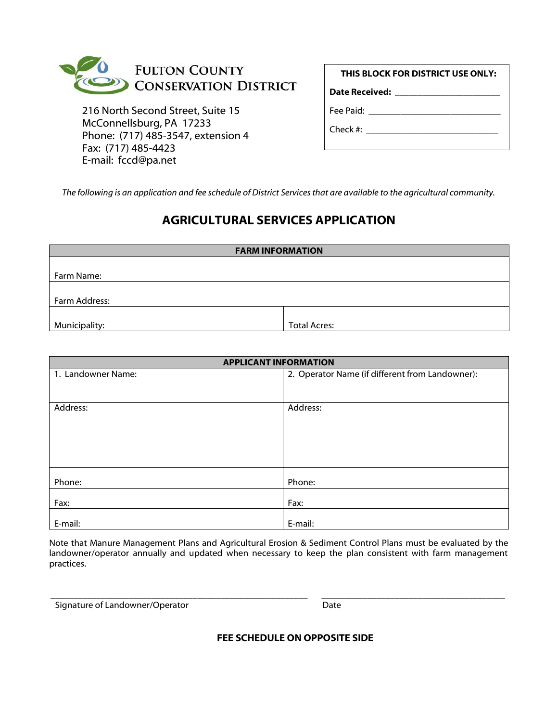

216 North Second Street, Suite 15 McConnellsburg, PA 17233 Phone: (717) 485-3547, extension 4 Fax: (717) 485-4423 E-mail: fccd@pa.net

**Date Received: \_\_\_\_\_\_\_\_\_\_\_\_\_\_\_\_\_\_\_\_\_\_\_**

Fee Paid: \_\_\_\_\_\_\_\_\_\_\_\_\_\_\_\_\_\_\_\_\_\_\_\_\_\_\_\_\_

Check #:

*The following is an application and fee schedule of District Services that are available to the agricultural community.*

## **AGRICULTURAL SERVICES APPLICATION**

| <b>FARM INFORMATION</b> |                     |  |
|-------------------------|---------------------|--|
|                         |                     |  |
| Farm Name:              |                     |  |
|                         |                     |  |
| Farm Address:           |                     |  |
|                         |                     |  |
| Municipality:           | <b>Total Acres:</b> |  |

| <b>APPLICANT INFORMATION</b> |                                                 |
|------------------------------|-------------------------------------------------|
| 1. Landowner Name:           | 2. Operator Name (if different from Landowner): |
|                              |                                                 |
|                              |                                                 |
| Address:                     | Address:                                        |
|                              |                                                 |
|                              |                                                 |
|                              |                                                 |
|                              |                                                 |
|                              |                                                 |
|                              |                                                 |
| Phone:                       | Phone:                                          |
|                              |                                                 |
| Fax:                         | Fax:                                            |
| E-mail:                      | E-mail:                                         |
|                              |                                                 |

Note that Manure Management Plans and Agricultural Erosion & Sediment Control Plans must be evaluated by the landowner/operator annually and updated when necessary to keep the plan consistent with farm management practices.

Signature of Landowner/Operator data and the Date

\_\_\_\_\_\_\_\_\_\_\_\_\_\_\_\_\_\_\_\_\_\_\_\_\_\_\_\_\_\_\_\_\_\_\_\_\_\_\_\_\_\_\_\_\_\_\_\_\_\_\_\_\_\_\_\_ \_\_\_\_\_\_\_\_\_\_\_\_\_\_\_\_\_\_\_\_\_\_\_\_\_\_\_\_\_\_\_\_\_\_\_\_\_\_\_\_

**FEE SCHEDULE ON OPPOSITE SIDE**